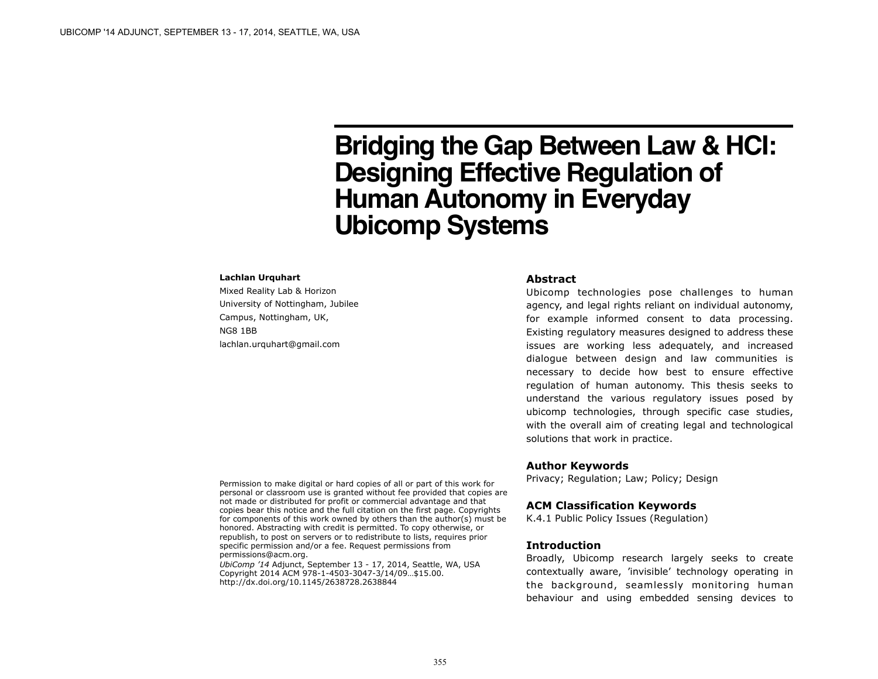# **Bridging the Gap Between Law & HCI: Designing Effective Regulation of Human Autonomy in Everyday Ubicomp Systems**

#### **Lachlan Urquhart**

Mixed Reality Lab & Horizon University of Nottingham, Jubilee Campus, Nottingham, UK, NG8 1BB [lachlan.urquhart@gmail.com](mailto:lachlan.urquhart@nottingham.ac.uk?subject=)

### **Abstract**

Ubicomp technologies pose challenges to human agency, and legal rights reliant on individual autonomy, for example informed consent to data processing. Existing regulatory measures designed to address these issues are working less adequately, and increased dialogue between design and law communities is necessary to decide how best to ensure effective regulation of human autonomy. This thesis seeks to understand the various regulatory issues posed by ubicomp technologies, through specific case studies, with the overall aim of creating legal and technological solutions that work in practice.

## **Author Keywords**

Privacy; Regulation; Law; Policy; Design

## **ACM Classification Keywords**

K.4.1 Public Policy Issues (Regulation)

## **Introduction**

Broadly, Ubicomp research largely seeks to create contextually aware, 'invisible' technology operating in the background, seamlessly monitoring human behaviour and using embedded sensing devices to

Permission to make digital or hard copies of all or part of this work for personal or classroom use is granted without fee provided that copies are not made or distributed for profit or commercial advantage and that copies bear this notice and the full citation on the first page. Copyrights for components of this work owned by others than the author(s) must be honored. Abstracting with credit is permitted. To copy otherwise, or republish, to post on servers or to redistribute to lists, requires prior specific permission and/or a fee. Request permissions from [permissions@acm.org.](mailto:permissions@acm.org)

*UbiComp '14* Adjunct, September 13 - 17, 2014, Seattle, WA, USA Copyright 2014 ACM 978-1-4503-3047-3/14/09…\$15.00. <http://dx.doi.org/10.1145/2638728.2638844>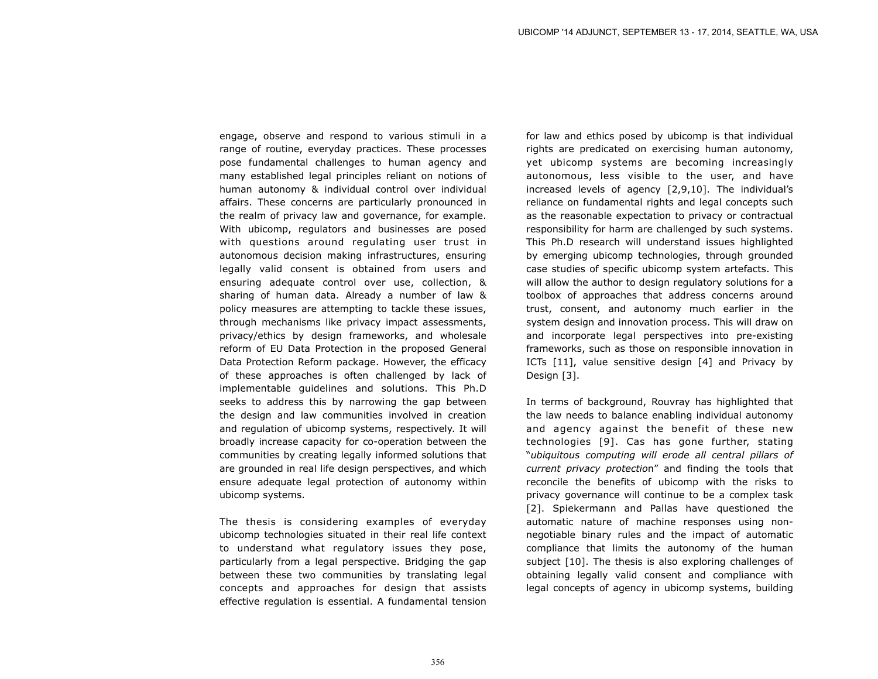engage, observe and respond to various stimuli in a range of routine, everyday practices. These processes pose fundamental challenges to human agency and many established legal principles reliant on notions of human autonomy & individual control over individual affairs. These concerns are particularly pronounced in the realm of privacy law and governance, for example. With ubicomp, regulators and businesses are posed with questions around regulating user trust in autonomous decision making infrastructures, ensuring legally valid consent is obtained from users and ensuring adequate control over use, collection, & sharing of human data. Already a number of law & policy measures are attempting to tackle these issues, through mechanisms like privacy impact assessments, privacy/ethics by design frameworks, and wholesale reform of EU Data Protection in the proposed General Data Protection Reform package. However, the efficacy of these approaches is often challenged by lack of implementable guidelines and solutions. This Ph.D seeks to address this by narrowing the gap between the design and law communities involved in creation and regulation of ubicomp systems, respectively. It will broadly increase capacity for co-operation between the communities by creating legally informed solutions that are grounded in real life design perspectives, and which ensure adequate legal protection of autonomy within ubicomp systems.

The thesis is considering examples of everyday ubicomp technologies situated in their real life context to understand what regulatory issues they pose, particularly from a legal perspective. Bridging the gap between these two communities by translating legal concepts and approaches for design that assists effective regulation is essential. A fundamental tension

for law and ethics posed by ubicomp is that individual rights are predicated on exercising human autonomy, yet ubicomp systems are becoming increasingly autonomous, less visible to the user, and have increased levels of agency [2,9,10]. The individual's reliance on fundamental rights and legal concepts such as the reasonable expectation to privacy or contractual responsibility for harm are challenged by such systems. This Ph.D research will understand issues highlighted by emerging ubicomp technologies, through grounded case studies of specific ubicomp system artefacts. This will allow the author to design regulatory solutions for a toolbox of approaches that address concerns around trust, consent, and autonomy much earlier in the system design and innovation process. This will draw on and incorporate legal perspectives into pre-existing frameworks, such as those on responsible innovation in ICTs [11], value sensitive design [4] and Privacy by Design [3].

In terms of background, Rouvray has highlighted that the law needs to balance enabling individual autonomy and agency against the benefit of these new technologies [9]. Cas has gone further, stating "*ubiquitous computing will erode all central pillars of current privacy protectio*n" and finding the tools that reconcile the benefits of ubicomp with the risks to privacy governance will continue to be a complex task [2]. Spiekermann and Pallas have questioned the automatic nature of machine responses using nonnegotiable binary rules and the impact of automatic compliance that limits the autonomy of the human subject [10]. The thesis is also exploring challenges of obtaining legally valid consent and compliance with legal concepts of agency in ubicomp systems, building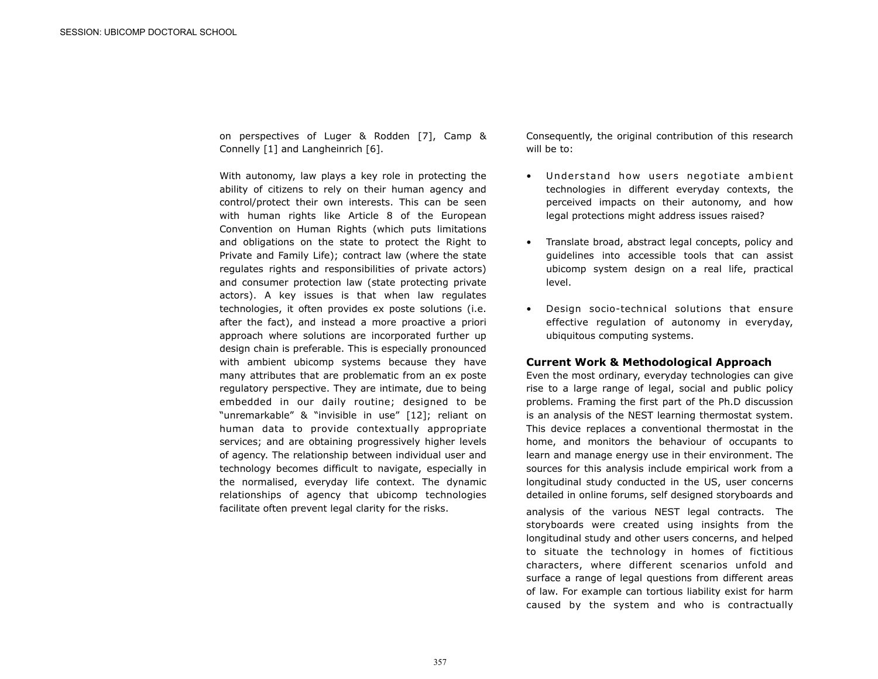on perspectives of Luger & Rodden [7], Camp & Connelly [1] and Langheinrich [6].

With autonomy, law plays a key role in protecting the ability of citizens to rely on their human agency and control/protect their own interests. This can be seen with human rights like Article 8 of the European Convention on Human Rights (which puts limitations and obligations on the state to protect the Right to Private and Family Life); contract law (where the state regulates rights and responsibilities of private actors) and consumer protection law (state protecting private actors). A key issues is that when law regulates technologies, it often provides ex poste solutions (i.e. after the fact), and instead a more proactive a priori approach where solutions are incorporated further up design chain is preferable. This is especially pronounced with ambient ubicomp systems because they have many attributes that are problematic from an ex poste regulatory perspective. They are intimate, due to being embedded in our daily routine; designed to be "unremarkable" & "invisible in use" [12]; reliant on human data to provide contextually appropriate services; and are obtaining progressively higher levels of agency. The relationship between individual user and technology becomes difficult to navigate, especially in the normalised, everyday life context. The dynamic relationships of agency that ubicomp technologies facilitate often prevent legal clarity for the risks.

Consequently, the original contribution of this research will be to:

- Understand how users negotiate ambient technologies in different everyday contexts, the perceived impacts on their autonomy, and how legal protections might address issues raised?
- Translate broad, abstract legal concepts, policy and guidelines into accessible tools that can assist ubicomp system design on a real life, practical level.
- Design socio-technical solutions that ensure effective regulation of autonomy in everyday, ubiquitous computing systems.

#### **Current Work & Methodological Approach**

Even the most ordinary, everyday technologies can give rise to a large range of legal, social and public policy problems. Framing the first part of the Ph.D discussion is an analysis of the NEST learning thermostat system. This device replaces a conventional thermostat in the home, and monitors the behaviour of occupants to learn and manage energy use in their environment. The sources for this analysis include empirical work from a longitudinal study conducted in the US, user concerns detailed in online forums, self designed storyboards and analysis of the various NEST legal contracts. The storyboards were created using insights from the longitudinal study and other users concerns, and helped to situate the technology in homes of fictitious characters, where different scenarios unfold and surface a range of legal questions from different areas of law. For example can tortious liability exist for harm caused by the system and who is contractually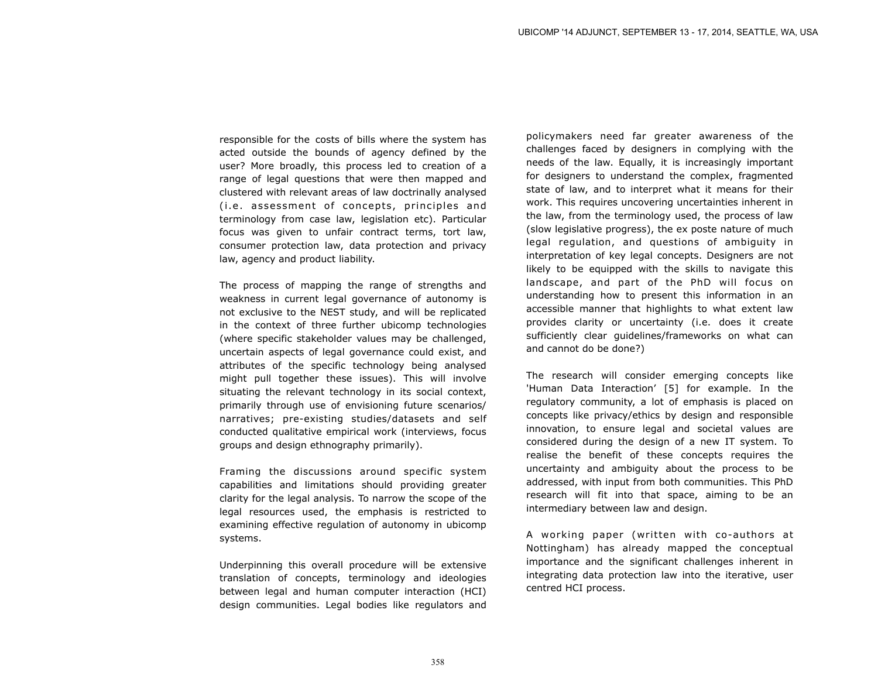responsible for the costs of bills where the system has acted outside the bounds of agency defined by the user? More broadly, this process led to creation of a range of legal questions that were then mapped and clustered with relevant areas of law doctrinally analysed (i.e. assessment of concepts, principles and terminology from case law, legislation etc). Particular focus was given to unfair contract terms, tort law, consumer protection law, data protection and privacy law, agency and product liability.

The process of mapping the range of strengths and weakness in current legal governance of autonomy is not exclusive to the NEST study, and will be replicated in the context of three further ubicomp technologies (where specific stakeholder values may be challenged, uncertain aspects of legal governance could exist, and attributes of the specific technology being analysed might pull together these issues). This will involve situating the relevant technology in its social context, primarily through use of envisioning future scenarios/ narratives; pre-existing studies/datasets and self conducted qualitative empirical work (interviews, focus groups and design ethnography primarily).

Framing the discussions around specific system capabilities and limitations should providing greater clarity for the legal analysis. To narrow the scope of the legal resources used, the emphasis is restricted to examining effective regulation of autonomy in ubicomp systems.

Underpinning this overall procedure will be extensive translation of concepts, terminology and ideologies between legal and human computer interaction (HCI) design communities. Legal bodies like regulators and

policymakers need far greater awareness of the challenges faced by designers in complying with the needs of the law. Equally, it is increasingly important for designers to understand the complex, fragmented state of law, and to interpret what it means for their work. This requires uncovering uncertainties inherent in the law, from the terminology used, the process of law (slow legislative progress), the ex poste nature of much legal regulation, and questions of ambiguity in interpretation of key legal concepts. Designers are not likely to be equipped with the skills to navigate this landscape, and part of the PhD will focus on understanding how to present this information in an accessible manner that highlights to what extent law provides clarity or uncertainty (i.e. does it create sufficiently clear guidelines/frameworks on what can and cannot do be done?)

The research will consider emerging concepts like 'Human Data Interaction' [5] for example. In the regulatory community, a lot of emphasis is placed on concepts like privacy/ethics by design and responsible innovation, to ensure legal and societal values are considered during the design of a new IT system. To realise the benefit of these concepts requires the uncertainty and ambiguity about the process to be addressed, with input from both communities. This PhD research will fit into that space, aiming to be an intermediary between law and design.

A working paper (written with co-authors at Nottingham) has already mapped the conceptual importance and the significant challenges inherent in integrating data protection law into the iterative, user centred HCI process.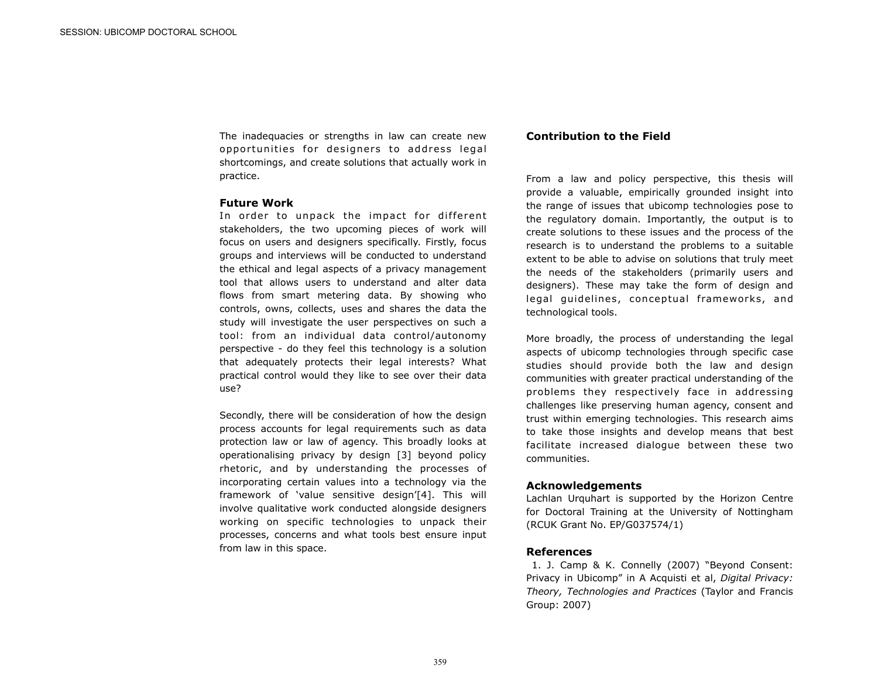The inadequacies or strengths in law can create new opportunities for designers to address legal shortcomings, and create solutions that actually work in practice.

## **Future Work**

In order to unpack the impact for different stakeholders, the two upcoming pieces of work will focus on users and designers specifically. Firstly, focus groups and interviews will be conducted to understand the ethical and legal aspects of a privacy management tool that allows users to understand and alter data flows from smart metering data. By showing who controls, owns, collects, uses and shares the data the study will investigate the user perspectives on such a tool: from an individual data control/autonomy perspective - do they feel this technology is a solution that adequately protects their legal interests? What practical control would they like to see over their data use?

Secondly, there will be consideration of how the design process accounts for legal requirements such as data protection law or law of agency. This broadly looks at operationalising privacy by design [3] beyond policy rhetoric, and by understanding the processes of incorporating certain values into a technology via the framework of 'value sensitive design'[4]. This will involve qualitative work conducted alongside designers working on specific technologies to unpack their processes, concerns and what tools best ensure input from law in this space.

### **Contribution to the Field**

From a law and policy perspective, this thesis will provide a valuable, empirically grounded insight into the range of issues that ubicomp technologies pose to the regulatory domain. Importantly, the output is to create solutions to these issues and the process of the research is to understand the problems to a suitable extent to be able to advise on solutions that truly meet the needs of the stakeholders (primarily users and designers). These may take the form of design and legal guidelines, conceptual frameworks, and technological tools.

More broadly, the process of understanding the legal aspects of ubicomp technologies through specific case studies should provide both the law and design communities with greater practical understanding of the problems they respectively face in addressing challenges like preserving human agency, consent and trust within emerging technologies. This research aims to take those insights and develop means that best facilitate increased dialogue between these two communities.

### **Acknowledgements**

Lachlan Urquhart is supported by the Horizon Centre for Doctoral Training at the University of Nottingham (RCUK Grant No. EP/G037574/1)

#### **References**

 1. J. Camp & K. Connelly (2007) "Beyond Consent: Privacy in Ubicomp" in A Acquisti et al, *Digital Privacy: Theory, Technologies and Practices* (Taylor and Francis Group: 2007)